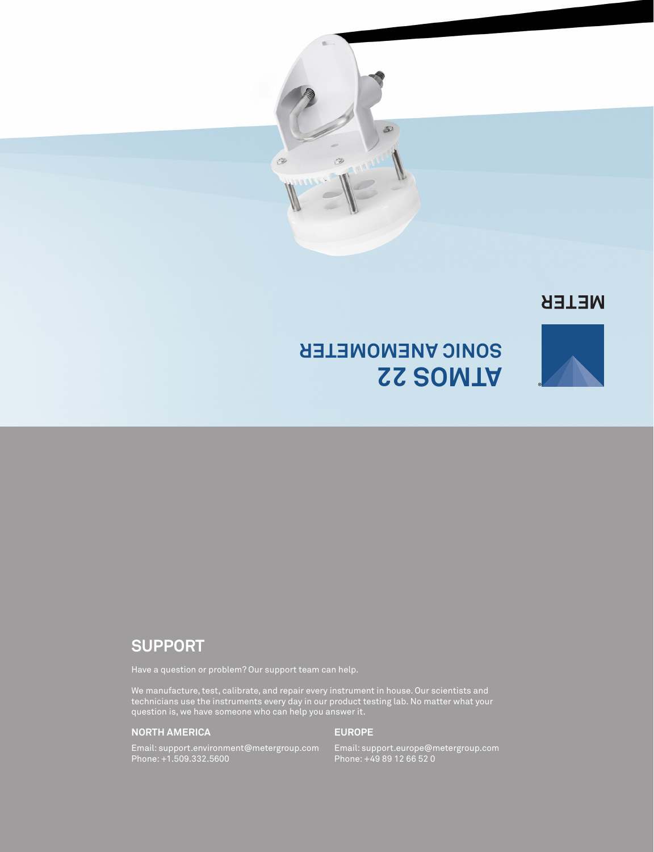

## **NETER**



## **ATMOS 22 SONIC ANEMOMETER**

## **SUPPORT**

We manufacture, test, calibrate, and repair every instrument in house. Our scientists and technicians use the instruments every day in our product testing lab. No matter what your question is, we have someone who can help you answer it.

#### **NORTH AMERICA**

#### **EUROPE**

Email: support.environment@metergroup.com Phone: +1.509.332.5600

Email: support.europe@metergroup.com Phone: +49 89 12 66 52 0